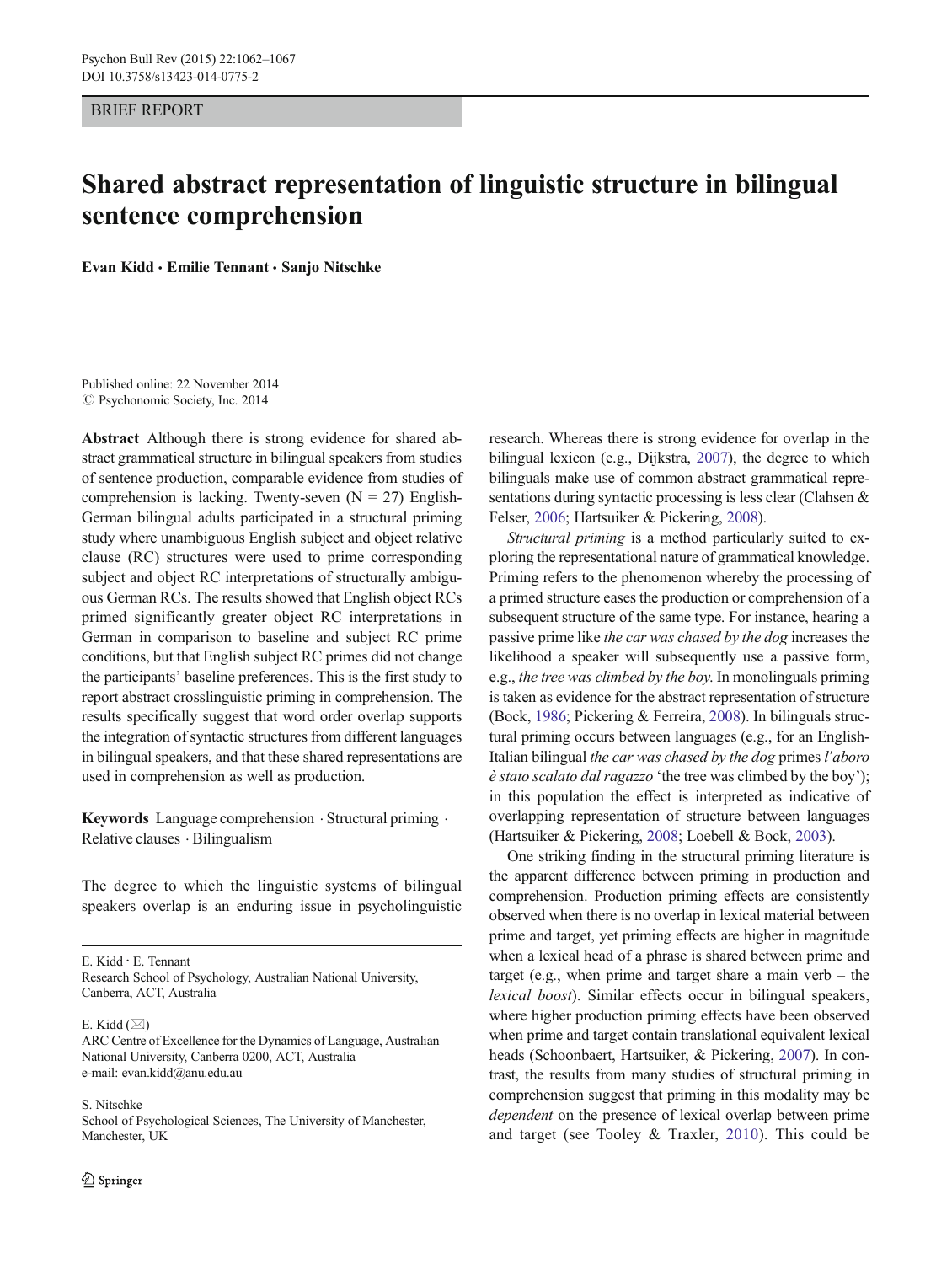BRIEF REPORT

# Shared abstract representation of linguistic structure in bilingual sentence comprehension

Evan Kidd · Emilie Tennant · Sanjo Nitschke

Published online: 22 November 2014  $\odot$  Psychonomic Society, Inc. 2014

Abstract Although there is strong evidence for shared abstract grammatical structure in bilingual speakers from studies of sentence production, comparable evidence from studies of comprehension is lacking. Twenty-seven  $(N = 27)$  English-German bilingual adults participated in a structural priming study where unambiguous English subject and object relative clause (RC) structures were used to prime corresponding subject and object RC interpretations of structurally ambiguous German RCs. The results showed that English object RCs primed significantly greater object RC interpretations in German in comparison to baseline and subject RC prime conditions, but that English subject RC primes did not change the participants' baseline preferences. This is the first study to report abstract crosslinguistic priming in comprehension. The results specifically suggest that word order overlap supports the integration of syntactic structures from different languages in bilingual speakers, and that these shared representations are used in comprehension as well as production.

Keywords Language comprehension · Structural priming · Relative clauses . Bilingualism

The degree to which the linguistic systems of bilingual speakers overlap is an enduring issue in psycholinguistic

E. Kidd : E. Tennant

Research School of Psychology, Australian National University, Canberra, ACT, Australia

E. Kidd  $(\boxtimes)$ 

S. Nitschke School of Psychological Sciences, The University of Manchester, Manchester, UK

research. Whereas there is strong evidence for overlap in the bilingual lexicon (e.g., Dijkstra, [2007\)](#page-5-0), the degree to which bilinguals make use of common abstract grammatical representations during syntactic processing is less clear (Clahsen & Felser, [2006;](#page-5-0) Hartsuiker & Pickering, [2008](#page-5-0)).

Structural priming is a method particularly suited to exploring the representational nature of grammatical knowledge. Priming refers to the phenomenon whereby the processing of a primed structure eases the production or comprehension of a subsequent structure of the same type. For instance, hearing a passive prime like the car was chased by the dog increases the likelihood a speaker will subsequently use a passive form, e.g., the tree was climbed by the boy. In monolinguals priming is taken as evidence for the abstract representation of structure (Bock, [1986](#page-5-0); Pickering & Ferreira, [2008](#page-5-0)). In bilinguals structural priming occurs between languages (e.g., for an English-Italian bilingual the car was chased by the dog primes l'aboro è stato scalato dal ragazzo 'the tree was climbed by the boy'); in this population the effect is interpreted as indicative of overlapping representation of structure between languages (Hartsuiker & Pickering, [2008](#page-5-0); Loebell & Bock, [2003](#page-5-0)).

One striking finding in the structural priming literature is the apparent difference between priming in production and comprehension. Production priming effects are consistently observed when there is no overlap in lexical material between prime and target, yet priming effects are higher in magnitude when a lexical head of a phrase is shared between prime and target (e.g., when prime and target share a main verb – the lexical boost). Similar effects occur in bilingual speakers, where higher production priming effects have been observed when prime and target contain translational equivalent lexical heads (Schoonbaert, Hartsuiker, & Pickering, [2007](#page-5-0)). In contrast, the results from many studies of structural priming in comprehension suggest that priming in this modality may be dependent on the presence of lexical overlap between prime and target (see Tooley & Traxler, [2010\)](#page-5-0). This could be

ARC Centre of Excellence for the Dynamics of Language, Australian National University, Canberra 0200, ACT, Australia e-mail: evan.kidd@anu.edu.au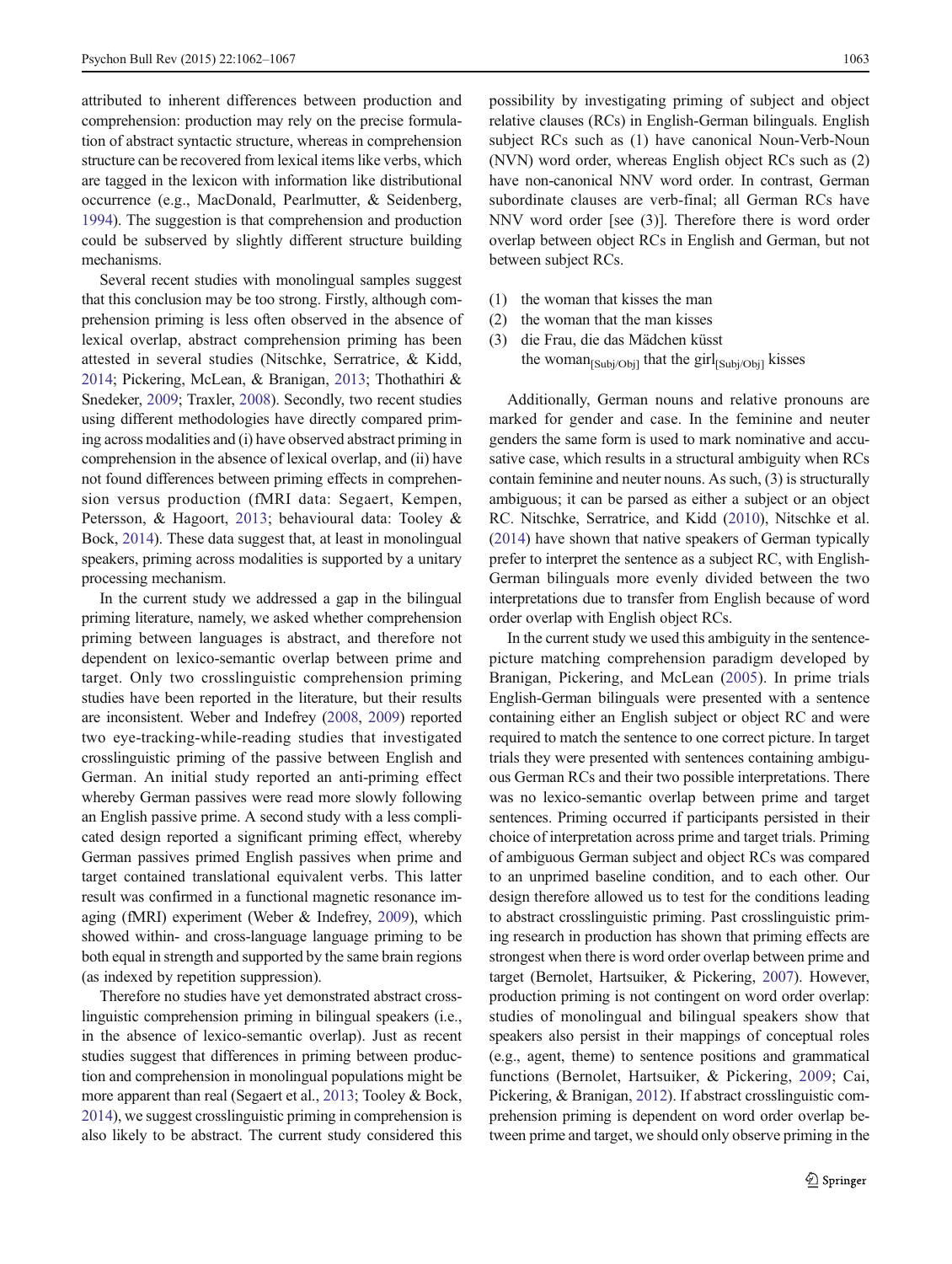attributed to inherent differences between production and comprehension: production may rely on the precise formulation of abstract syntactic structure, whereas in comprehension structure can be recovered from lexical items like verbs, which are tagged in the lexicon with information like distributional occurrence (e.g., MacDonald, Pearlmutter, & Seidenberg, [1994\)](#page-5-0). The suggestion is that comprehension and production could be subserved by slightly different structure building mechanisms.

Several recent studies with monolingual samples suggest that this conclusion may be too strong. Firstly, although comprehension priming is less often observed in the absence of lexical overlap, abstract comprehension priming has been attested in several studies (Nitschke, Serratrice, & Kidd, [2014;](#page-5-0) Pickering, McLean, & Branigan, [2013;](#page-5-0) Thothathiri & Snedeker, [2009;](#page-5-0) Traxler, [2008](#page-5-0)). Secondly, two recent studies using different methodologies have directly compared priming across modalities and (i) have observed abstract priming in comprehension in the absence of lexical overlap, and (ii) have not found differences between priming effects in comprehension versus production (fMRI data: Segaert, Kempen, Petersson, & Hagoort, [2013;](#page-5-0) behavioural data: Tooley & Bock, [2014](#page-5-0)). These data suggest that, at least in monolingual speakers, priming across modalities is supported by a unitary processing mechanism.

In the current study we addressed a gap in the bilingual priming literature, namely, we asked whether comprehension priming between languages is abstract, and therefore not dependent on lexico-semantic overlap between prime and target. Only two crosslinguistic comprehension priming studies have been reported in the literature, but their results are inconsistent. Weber and Indefrey ([2008](#page-5-0), [2009](#page-5-0)) reported two eye-tracking-while-reading studies that investigated crosslinguistic priming of the passive between English and German. An initial study reported an anti-priming effect whereby German passives were read more slowly following an English passive prime. A second study with a less complicated design reported a significant priming effect, whereby German passives primed English passives when prime and target contained translational equivalent verbs. This latter result was confirmed in a functional magnetic resonance imaging (fMRI) experiment (Weber & Indefrey, [2009](#page-5-0)), which showed within- and cross-language language priming to be both equal in strength and supported by the same brain regions (as indexed by repetition suppression).

Therefore no studies have yet demonstrated abstract crosslinguistic comprehension priming in bilingual speakers (i.e., in the absence of lexico-semantic overlap). Just as recent studies suggest that differences in priming between production and comprehension in monolingual populations might be more apparent than real (Segaert et al., [2013;](#page-5-0) Tooley & Bock, [2014\)](#page-5-0), we suggest crosslinguistic priming in comprehension is also likely to be abstract. The current study considered this possibility by investigating priming of subject and object relative clauses (RCs) in English-German bilinguals. English subject RCs such as (1) have canonical Noun-Verb-Noun (NVN) word order, whereas English object RCs such as (2) have non-canonical NNV word order. In contrast, German subordinate clauses are verb-final; all German RCs have NNV word order [see (3)]. Therefore there is word order overlap between object RCs in English and German, but not between subject RCs.

- (1) the woman that kisses the man
- (2) the woman that the man kisses
- (3) die Frau, die das Mädchen küsst the woman $_{[Subi/Obi]}$  that the girl $_{[Subi/Obi]}$  kisses

Additionally, German nouns and relative pronouns are marked for gender and case. In the feminine and neuter genders the same form is used to mark nominative and accusative case, which results in a structural ambiguity when RCs contain feminine and neuter nouns. As such, (3) is structurally ambiguous; it can be parsed as either a subject or an object RC. Nitschke, Serratrice, and Kidd ([2010](#page-5-0)), Nitschke et al. [\(2014\)](#page-5-0) have shown that native speakers of German typically prefer to interpret the sentence as a subject RC, with English-German bilinguals more evenly divided between the two interpretations due to transfer from English because of word order overlap with English object RCs.

In the current study we used this ambiguity in the sentencepicture matching comprehension paradigm developed by Branigan, Pickering, and McLean [\(2005](#page-5-0)). In prime trials English-German bilinguals were presented with a sentence containing either an English subject or object RC and were required to match the sentence to one correct picture. In target trials they were presented with sentences containing ambiguous German RCs and their two possible interpretations. There was no lexico-semantic overlap between prime and target sentences. Priming occurred if participants persisted in their choice of interpretation across prime and target trials. Priming of ambiguous German subject and object RCs was compared to an unprimed baseline condition, and to each other. Our design therefore allowed us to test for the conditions leading to abstract crosslinguistic priming. Past crosslinguistic priming research in production has shown that priming effects are strongest when there is word order overlap between prime and target (Bernolet, Hartsuiker, & Pickering, [2007\)](#page-5-0). However, production priming is not contingent on word order overlap: studies of monolingual and bilingual speakers show that speakers also persist in their mappings of conceptual roles (e.g., agent, theme) to sentence positions and grammatical functions (Bernolet, Hartsuiker, & Pickering, [2009;](#page-5-0) Cai, Pickering, & Branigan, [2012\)](#page-5-0). If abstract crosslinguistic comprehension priming is dependent on word order overlap between prime and target, we should only observe priming in the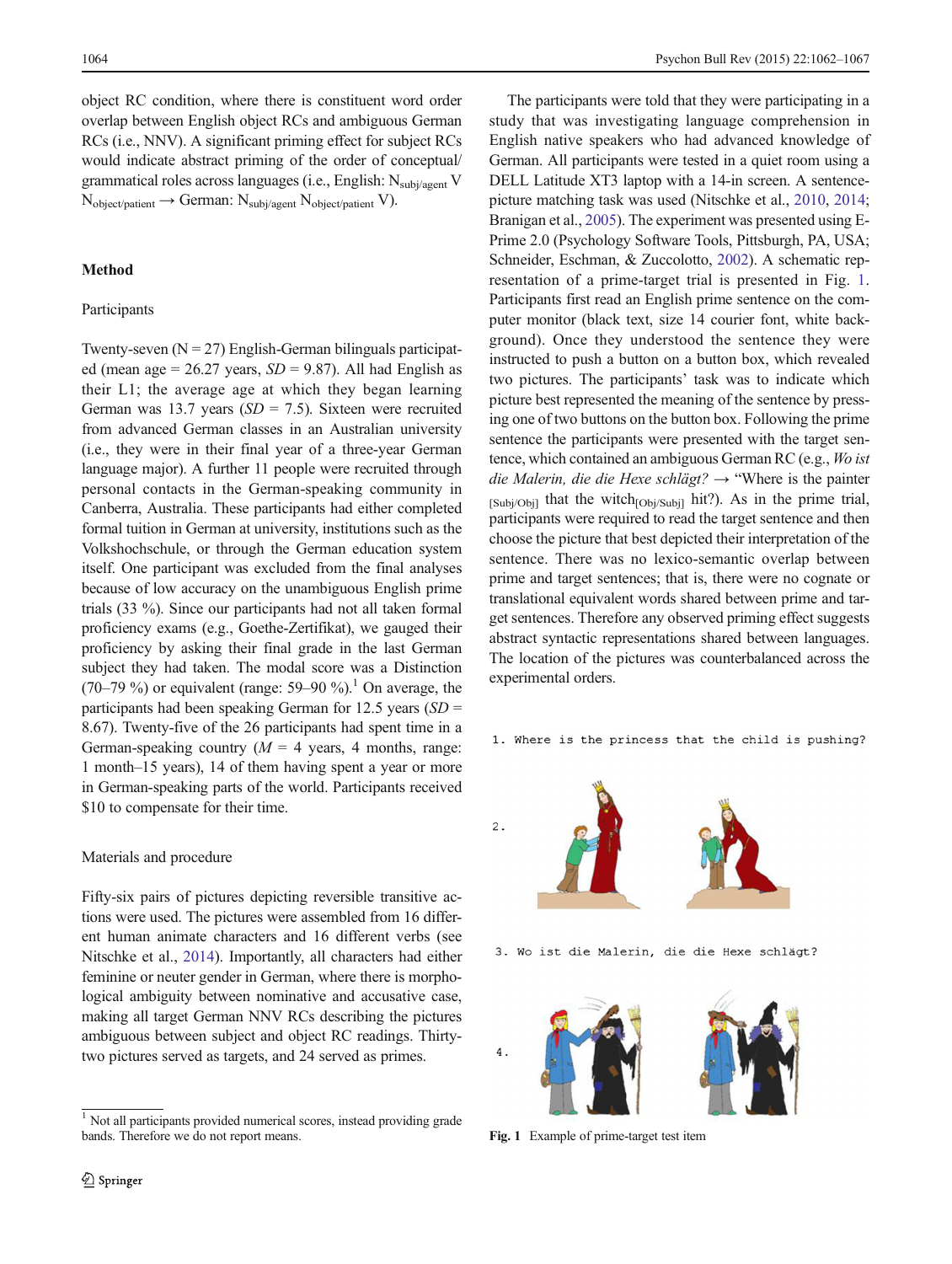object RC condition, where there is constituent word order overlap between English object RCs and ambiguous German RCs (i.e., NNV). A significant priming effect for subject RCs would indicate abstract priming of the order of conceptual/ grammatical roles across languages (i.e., English: Nsubj/agent V  $N_{object/patient} \rightarrow German: N_{subj/agent} N_{object/patient} V$ .

# Method

# Participants

Twenty-seven  $(N = 27)$  English-German bilinguals participated (mean age = 26.27 years,  $SD = 9.87$ ). All had English as their L1; the average age at which they began learning German was 13.7 years ( $SD = 7.5$ ). Sixteen were recruited from advanced German classes in an Australian university (i.e., they were in their final year of a three-year German language major). A further 11 people were recruited through personal contacts in the German-speaking community in Canberra, Australia. These participants had either completed formal tuition in German at university, institutions such as the Volkshochschule, or through the German education system itself. One participant was excluded from the final analyses because of low accuracy on the unambiguous English prime trials (33 %). Since our participants had not all taken formal proficiency exams (e.g., Goethe-Zertifikat), we gauged their proficiency by asking their final grade in the last German subject they had taken. The modal score was a Distinction (70–79 %) or equivalent (range: 59–90 %).<sup>1</sup> On average, the participants had been speaking German for 12.5 years  $(SD =$ 8.67). Twenty-five of the 26 participants had spent time in a German-speaking country  $(M = 4$  years, 4 months, range: 1 month–15 years), 14 of them having spent a year or more in German-speaking parts of the world. Participants received \$10 to compensate for their time.

#### Materials and procedure

Fifty-six pairs of pictures depicting reversible transitive actions were used. The pictures were assembled from 16 different human animate characters and 16 different verbs (see Nitschke et al., [2014](#page-5-0)). Importantly, all characters had either feminine or neuter gender in German, where there is morphological ambiguity between nominative and accusative case, making all target German NNV RCs describing the pictures ambiguous between subject and object RC readings. Thirtytwo pictures served as targets, and 24 served as primes.

The participants were told that they were participating in a study that was investigating language comprehension in English native speakers who had advanced knowledge of German. All participants were tested in a quiet room using a DELL Latitude XT3 laptop with a 14-in screen. A sentencepicture matching task was used (Nitschke et al., [2010,](#page-5-0) [2014;](#page-5-0) Branigan et al., [2005\)](#page-5-0). The experiment was presented using E-Prime 2.0 (Psychology Software Tools, Pittsburgh, PA, USA; Schneider, Eschman, & Zuccolotto, [2002](#page-5-0)). A schematic representation of a prime-target trial is presented in Fig. 1. Participants first read an English prime sentence on the computer monitor (black text, size 14 courier font, white background). Once they understood the sentence they were instructed to push a button on a button box, which revealed two pictures. The participants' task was to indicate which picture best represented the meaning of the sentence by pressing one of two buttons on the button box. Following the prime sentence the participants were presented with the target sentence, which contained an ambiguous German RC (e.g., Wo ist die Malerin, die die Hexe schlägt? → "Where is the painter  $[Subj/Obj]$  that the witch $[Obj/Subj]$  hit?). As in the prime trial, participants were required to read the target sentence and then choose the picture that best depicted their interpretation of the sentence. There was no lexico-semantic overlap between prime and target sentences; that is, there were no cognate or translational equivalent words shared between prime and target sentences. Therefore any observed priming effect suggests abstract syntactic representations shared between languages. The location of the pictures was counterbalanced across the experimental orders.

1. Where is the princess that the child is pushing?

3. Wo ist die Malerin, die die Hexe schlägt? 4



<sup>&</sup>lt;sup>1</sup> Not all participants provided numerical scores, instead providing grade bands. Therefore we do not report means. Fig. 1 Example of prime-target test item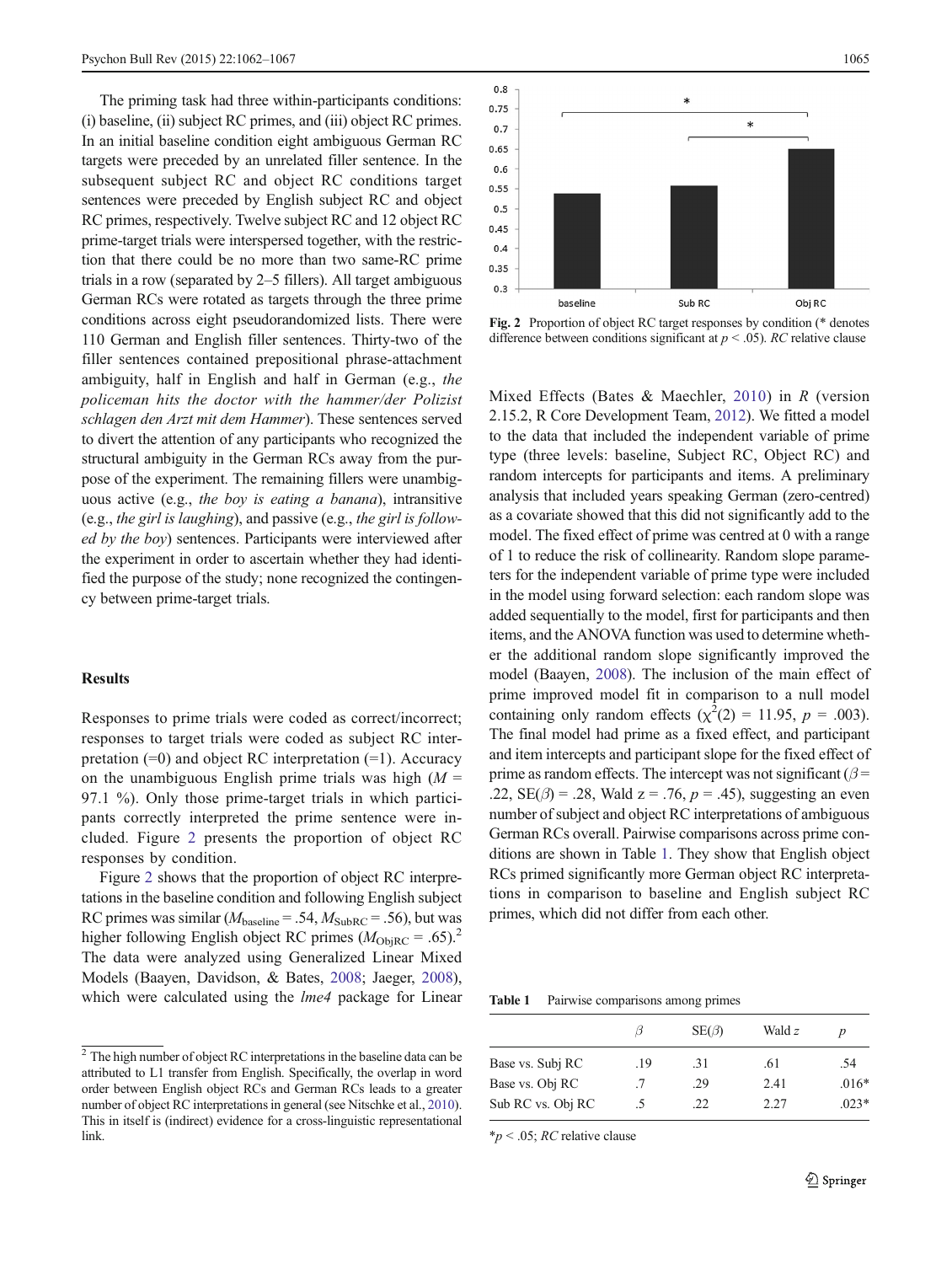The priming task had three within-participants conditions: (i) baseline, (ii) subject RC primes, and (iii) object RC primes. In an initial baseline condition eight ambiguous German RC targets were preceded by an unrelated filler sentence. In the subsequent subject RC and object RC conditions target sentences were preceded by English subject RC and object RC primes, respectively. Twelve subject RC and 12 object RC prime-target trials were interspersed together, with the restriction that there could be no more than two same-RC prime trials in a row (separated by 2–5 fillers). All target ambiguous German RCs were rotated as targets through the three prime conditions across eight pseudorandomized lists. There were 110 German and English filler sentences. Thirty-two of the filler sentences contained prepositional phrase-attachment ambiguity, half in English and half in German (e.g., the policeman hits the doctor with the hammer/der Polizist schlagen den Arzt mit dem Hammer). These sentences served to divert the attention of any participants who recognized the structural ambiguity in the German RCs away from the purpose of the experiment. The remaining fillers were unambiguous active (e.g., the boy is eating a banana), intransitive (e.g., the girl is laughing), and passive (e.g., the girl is followed by the boy) sentences. Participants were interviewed after the experiment in order to ascertain whether they had identified the purpose of the study; none recognized the contingency between prime-target trials.

# **Results**

Responses to prime trials were coded as correct/incorrect; responses to target trials were coded as subject RC interpretation  $(=0)$  and object RC interpretation  $(=1)$ . Accuracy on the unambiguous English prime trials was high  $(M =$ 97.1 %). Only those prime-target trials in which participants correctly interpreted the prime sentence were included. Figure 2 presents the proportion of object RC responses by condition.

Figure 2 shows that the proportion of object RC interpretations in the baseline condition and following English subject RC primes was similar ( $M_{\text{baseline}} = .54$ ,  $M_{\text{SubRC}} = .56$ ), but was higher following English object RC primes  $(M_{\text{ObiRC}} = .65).^{2}$ The data were analyzed using Generalized Linear Mixed Models (Baayen, Davidson, & Bates, [2008](#page-5-0); Jaeger, [2008\)](#page-5-0), which were calculated using the *lme4* package for Linear



Fig. 2 Proportion of object RC target responses by condition (\* denotes difference between conditions significant at  $p < .05$ ). RC relative clause

Mixed Effects (Bates & Maechler, [2010\)](#page-5-0) in  $R$  (version 2.15.2, R Core Development Team, [2012\)](#page-5-0). We fitted a model to the data that included the independent variable of prime type (three levels: baseline, Subject RC, Object RC) and random intercepts for participants and items. A preliminary analysis that included years speaking German (zero-centred) as a covariate showed that this did not significantly add to the model. The fixed effect of prime was centred at 0 with a range of 1 to reduce the risk of collinearity. Random slope parameters for the independent variable of prime type were included in the model using forward selection: each random slope was added sequentially to the model, first for participants and then items, and the ANOVA function was used to determine whether the additional random slope significantly improved the model (Baayen, [2008](#page-4-0)). The inclusion of the main effect of prime improved model fit in comparison to a null model containing only random effects ( $\chi^2(2) = 11.95$ ,  $p = .003$ ). The final model had prime as a fixed effect, and participant and item intercepts and participant slope for the fixed effect of prime as random effects. The intercept was not significant ( $\beta$  = .22,  $SE(\beta) = .28$ , Wald  $z = .76$ ,  $p = .45$ ), suggesting an even number of subject and object RC interpretations of ambiguous German RCs overall. Pairwise comparisons across prime conditions are shown in Table 1. They show that English object RCs primed significantly more German object RC interpretations in comparison to baseline and English subject RC primes, which did not differ from each other.

Table 1 Pairwise comparisons among primes

|                   |     | $SE(\beta)$ | Wald z | D       |
|-------------------|-----|-------------|--------|---------|
| Base vs. Subj RC  | .19 | .31         | .61    | .54     |
| Base vs. Obj RC   | .7  | .29         | 2.41   | $.016*$ |
| Sub RC vs. Obj RC | .5  | .22         | 2.27   | $.023*$ |

 $*_{p}$  < .05; *RC* relative clause

 $\sqrt{2}$  The high number of object RC interpretations in the baseline data can be attributed to L1 transfer from English. Specifically, the overlap in word order between English object RCs and German RCs leads to a greater number of object RC interpretations in general (see Nitschke et al., [2010](#page-5-0)). This in itself is (indirect) evidence for a cross-linguistic representational link.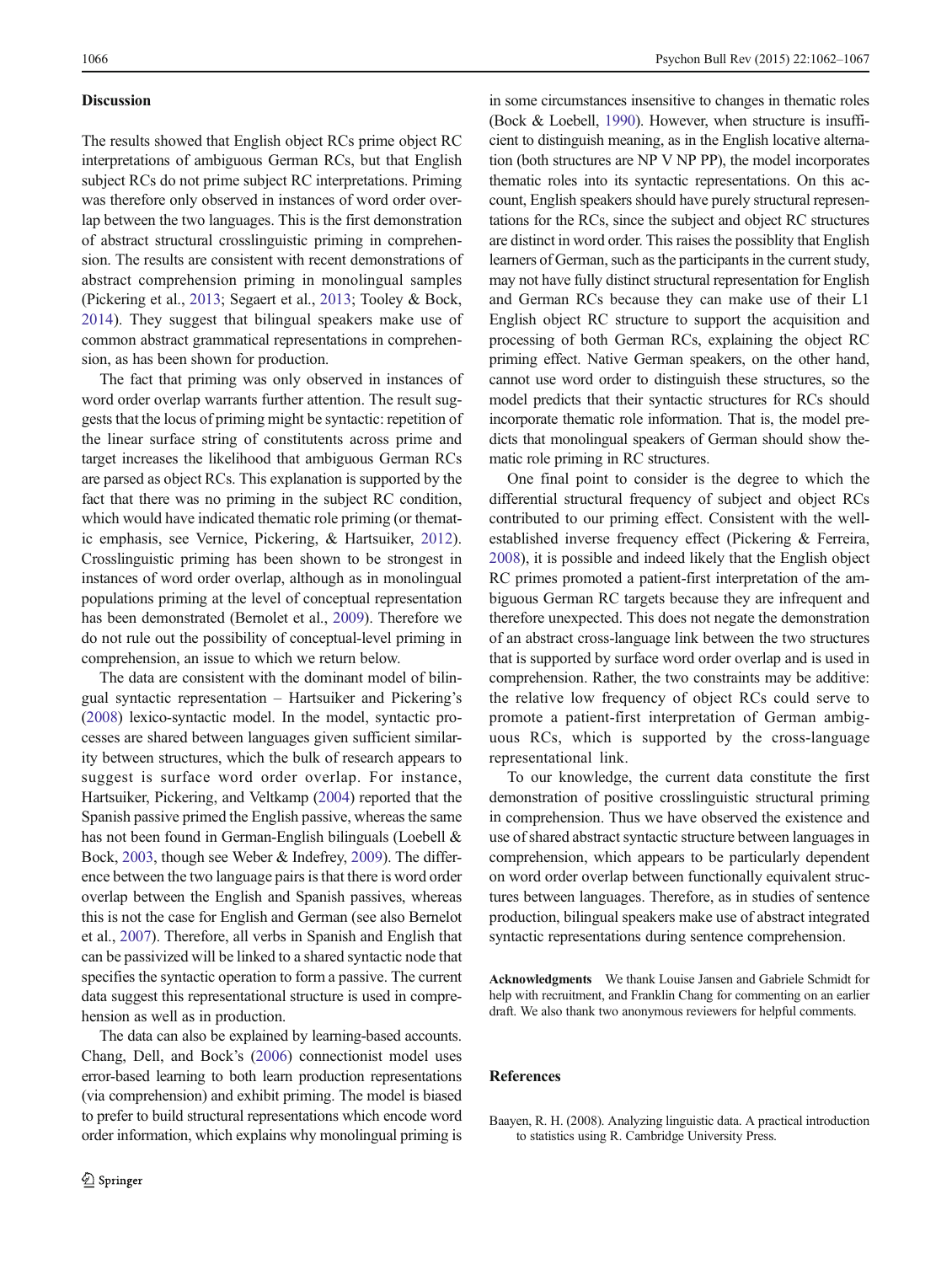## <span id="page-4-0"></span>**Discussion**

The results showed that English object RCs prime object RC interpretations of ambiguous German RCs, but that English subject RCs do not prime subject RC interpretations. Priming was therefore only observed in instances of word order overlap between the two languages. This is the first demonstration of abstract structural crosslinguistic priming in comprehension. The results are consistent with recent demonstrations of abstract comprehension priming in monolingual samples (Pickering et al., [2013](#page-5-0); Segaert et al., [2013;](#page-5-0) Tooley & Bock, [2014](#page-5-0)). They suggest that bilingual speakers make use of common abstract grammatical representations in comprehension, as has been shown for production.

The fact that priming was only observed in instances of word order overlap warrants further attention. The result suggests that the locus of priming might be syntactic: repetition of the linear surface string of constitutents across prime and target increases the likelihood that ambiguous German RCs are parsed as object RCs. This explanation is supported by the fact that there was no priming in the subject RC condition, which would have indicated thematic role priming (or thematic emphasis, see Vernice, Pickering, & Hartsuiker, [2012](#page-5-0)). Crosslinguistic priming has been shown to be strongest in instances of word order overlap, although as in monolingual populations priming at the level of conceptual representation has been demonstrated (Bernolet et al., [2009\)](#page-5-0). Therefore we do not rule out the possibility of conceptual-level priming in comprehension, an issue to which we return below.

The data are consistent with the dominant model of bilingual syntactic representation – Hartsuiker and Pickering's [\(2008\)](#page-5-0) lexico-syntactic model. In the model, syntactic processes are shared between languages given sufficient similarity between structures, which the bulk of research appears to suggest is surface word order overlap. For instance, Hartsuiker, Pickering, and Veltkamp [\(2004\)](#page-5-0) reported that the Spanish passive primed the English passive, whereas the same has not been found in German-English bilinguals (Loebell & Bock, [2003](#page-5-0), though see Weber & Indefrey, [2009](#page-5-0)). The difference between the two language pairs is that there is word order overlap between the English and Spanish passives, whereas this is not the case for English and German (see also Bernelot et al., [2007\)](#page-5-0). Therefore, all verbs in Spanish and English that can be passivized will be linked to a shared syntactic node that specifies the syntactic operation to form a passive. The current data suggest this representational structure is used in comprehension as well as in production.

The data can also be explained by learning-based accounts. Chang, Dell, and Bock's [\(2006\)](#page-5-0) connectionist model uses error-based learning to both learn production representations (via comprehension) and exhibit priming. The model is biased to prefer to build structural representations which encode word order information, which explains why monolingual priming is in some circumstances insensitive to changes in thematic roles (Bock & Loebell, [1990\)](#page-5-0). However, when structure is insufficient to distinguish meaning, as in the English locative alternation (both structures are NP V NP PP), the model incorporates thematic roles into its syntactic representations. On this account, English speakers should have purely structural representations for the RCs, since the subject and object RC structures are distinct in word order. This raises the possiblity that English learners of German, such as the participants in the current study, may not have fully distinct structural representation for English and German RCs because they can make use of their L1 English object RC structure to support the acquisition and processing of both German RCs, explaining the object RC priming effect. Native German speakers, on the other hand, cannot use word order to distinguish these structures, so the model predicts that their syntactic structures for RCs should incorporate thematic role information. That is, the model predicts that monolingual speakers of German should show thematic role priming in RC structures.

One final point to consider is the degree to which the differential structural frequency of subject and object RCs contributed to our priming effect. Consistent with the wellestablished inverse frequency effect (Pickering & Ferreira, [2008\)](#page-5-0), it is possible and indeed likely that the English object RC primes promoted a patient-first interpretation of the ambiguous German RC targets because they are infrequent and therefore unexpected. This does not negate the demonstration of an abstract cross-language link between the two structures that is supported by surface word order overlap and is used in comprehension. Rather, the two constraints may be additive: the relative low frequency of object RCs could serve to promote a patient-first interpretation of German ambiguous RCs, which is supported by the cross-language representational link.

To our knowledge, the current data constitute the first demonstration of positive crosslinguistic structural priming in comprehension. Thus we have observed the existence and use of shared abstract syntactic structure between languages in comprehension, which appears to be particularly dependent on word order overlap between functionally equivalent structures between languages. Therefore, as in studies of sentence production, bilingual speakers make use of abstract integrated syntactic representations during sentence comprehension.

Acknowledgments We thank Louise Jansen and Gabriele Schmidt for help with recruitment, and Franklin Chang for commenting on an earlier draft. We also thank two anonymous reviewers for helpful comments.

## **References**

Baayen, R. H. (2008). Analyzing linguistic data. A practical introduction to statistics using R. Cambridge University Press.